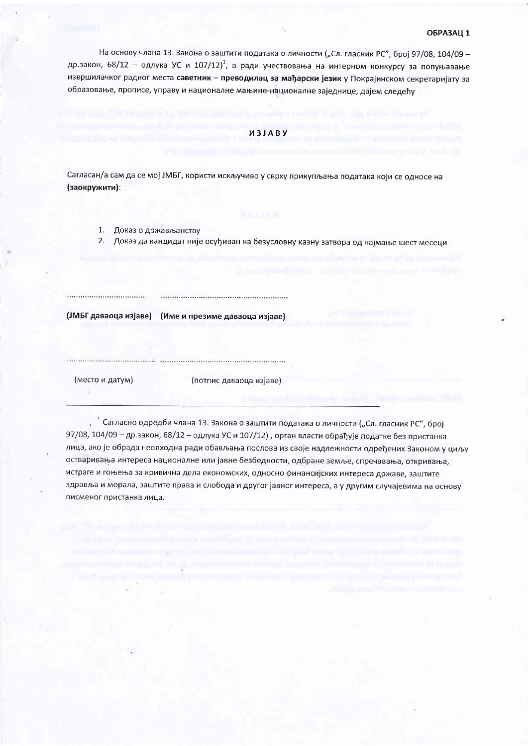## ОБРАЗАЦ 1

На основу члана 13. Закона о заштити података о личности ("Сл. гласник РС", број 97/08, 104/09 др.закон, 68/12 - одлука УС и 107/12)<sup>1</sup>, а ради учествовања на интерном конкурсу за попуњавање извршилачког радног места саветник - преводилац за мађарски језик у Покрајинском секретаријату за образовање, прописе, управу и националне мањине-националне заједнице, дајем следећу

## *<u>UBJABY</u>*

Сагласан/а сам да се мој ЈМБГ, користи искључиво у сврху прикупљања података који се односе на (заокружити):

- 1. Доказ о држављанству
- 2. Доказ да кандидат није осуђиван на безусловну казну затвора од најмање шест месеци

(ЈМБГ даваоца изјаве) (Име и презиме даваоца изјаве)

(место и датум)

(потпис даваоца изјаве)

 $^{-1}$  Сагласно одредби члана 13. Закона о заштити података о личности ("Сл. гласник РС", број 97/08, 104/09 - др.закон, 68/12 - одлука УС и 107/12), орган власти обрађује податке без пристанка лица, ако је обрада неопходна ради обављања послова из своје надлежности одређених Законом у циљу остваривања интереса националне или јавне безбедности, одбране земље, спречавања, откривања, истраге и гоњења за кривична дела економских, односно финансијских интереса државе, заштите здравља и морала, заштите права и слобода и другог јавног интереса, а у другим случајевима на основу писменог пристанка лица.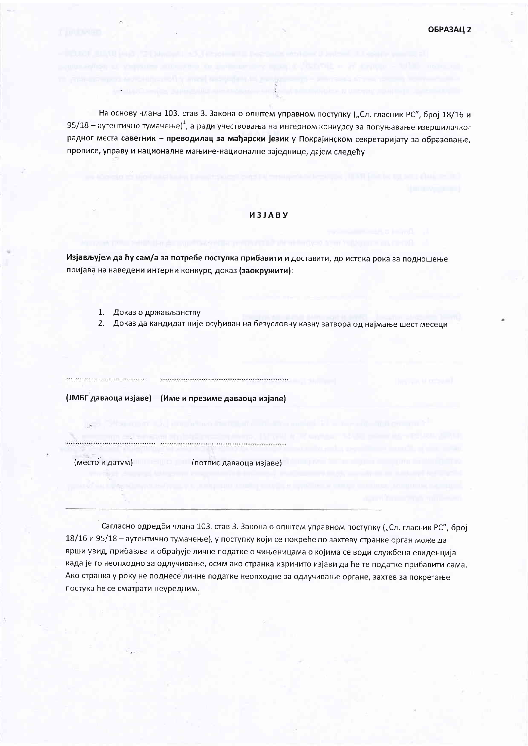На основу члана 103. став 3. Закона о општем управном поступку ("Сл. гласник РС", број 18/16 и 95/18 - аутентично тумачење)<sup>1</sup>, а ради учествовања на интерном конкурсу за попуњавање извршилачког радног места саветник - преводилац за мађарски језик у Покрајинском секретаријату за образовање, прописе, управу и националне мањине-националне заједнице, дајем следећу

## *M3JABY*

Изјављујем да ћу сам/а за потребе поступка прибавити и доставити, до истека рока за подношење пријава на наведени интерни конкурс, доказ (заокружити):

- 1. Доказ о држављанству
- 2. Доказ да кандидат није осуђиван на безусловну казну затвора од најмање шест месеци

|  | (ЈМБГ даваоца изјаве) (Име и презиме даваоца изјаве) |  |
|--|------------------------------------------------------|--|
|--|------------------------------------------------------|--|

(место и датум) (потпис даваоца изјаве)

<sup>1</sup> Сагласно одредби члана 103. став 3. Закона о општем управном поступку ("Сл. гласник РС", број 18/16 и 95/18 - аутентично тумачење), у поступку који се покреће по захтеву странке орган може да врши увид, прибавља и обрађује личне податке о чињеницама о којима се води службена евиденција када је то неопходно за одлучивање, осим ако странка изричито изјави да ће те податке прибавити сама. Ако странка у року не поднесе личне податке неопходне за одлучивање органе, захтев за покретање постука ће се сматрати неуредним.